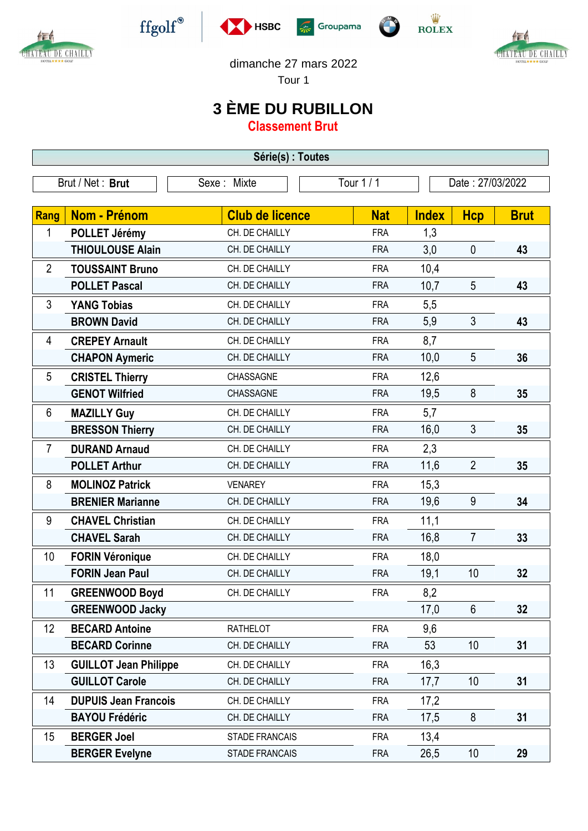

Æ

CHATEAU DE CHAILLY









dimanche 27 mars 2022

Tour 1

## **3 ÈME DU RUBILLON**

**Classement Brut**

| Série(s) : Toutes |                              |                        |            |                  |                |             |  |  |  |  |
|-------------------|------------------------------|------------------------|------------|------------------|----------------|-------------|--|--|--|--|
| Brut / Net: Brut  |                              | Sexe: Mixte            | Tour 1 / 1 | Date: 27/03/2022 |                |             |  |  |  |  |
|                   |                              |                        |            |                  |                |             |  |  |  |  |
| Rang              | Nom - Prénom                 | <b>Club de licence</b> | <b>Nat</b> | <b>Index</b>     | <b>Hcp</b>     | <b>Brut</b> |  |  |  |  |
| 1                 | POLLET Jérémy                | CH. DE CHAILLY         | <b>FRA</b> | 1,3              |                |             |  |  |  |  |
|                   | <b>THIOULOUSE Alain</b>      | CH. DE CHAILLY         | <b>FRA</b> | 3,0              | $\mathbf 0$    | 43          |  |  |  |  |
| $\overline{2}$    | <b>TOUSSAINT Bruno</b>       | CH. DE CHAILLY         | <b>FRA</b> | 10,4             |                |             |  |  |  |  |
|                   | <b>POLLET Pascal</b>         | CH. DE CHAILLY         | <b>FRA</b> | 10,7             | 5              | 43          |  |  |  |  |
| 3                 | <b>YANG Tobias</b>           | CH. DE CHAILLY         | <b>FRA</b> | 5,5              |                |             |  |  |  |  |
|                   | <b>BROWN David</b>           | CH. DE CHAILLY         | <b>FRA</b> | 5,9              | 3              | 43          |  |  |  |  |
| 4                 | <b>CREPEY Arnault</b>        | CH. DE CHAILLY         | <b>FRA</b> | 8,7              |                |             |  |  |  |  |
|                   | <b>CHAPON Aymeric</b>        | CH. DE CHAILLY         | <b>FRA</b> | 10,0             | 5              | 36          |  |  |  |  |
| 5                 | <b>CRISTEL Thierry</b>       | CHASSAGNE              | <b>FRA</b> | 12,6             |                |             |  |  |  |  |
|                   | <b>GENOT Wilfried</b>        | CHASSAGNE              | <b>FRA</b> | 19,5             | 8              | 35          |  |  |  |  |
| 6                 | <b>MAZILLY Guy</b>           | CH. DE CHAILLY         | <b>FRA</b> | 5,7              |                |             |  |  |  |  |
|                   | <b>BRESSON Thierry</b>       | CH. DE CHAILLY         | <b>FRA</b> | 16,0             | $\mathfrak{Z}$ | 35          |  |  |  |  |
| $\overline{7}$    | <b>DURAND Arnaud</b>         | CH. DE CHAILLY         | <b>FRA</b> | 2,3              |                |             |  |  |  |  |
|                   | <b>POLLET Arthur</b>         | CH. DE CHAILLY         | <b>FRA</b> | 11,6             | $\overline{2}$ | 35          |  |  |  |  |
| 8                 | <b>MOLINOZ Patrick</b>       | <b>VENAREY</b>         | <b>FRA</b> | 15,3             |                |             |  |  |  |  |
|                   | <b>BRENIER Marianne</b>      | CH. DE CHAILLY         | <b>FRA</b> | 19,6             | 9              | 34          |  |  |  |  |
| 9                 | <b>CHAVEL Christian</b>      | CH. DE CHAILLY         | <b>FRA</b> | 11,1             |                |             |  |  |  |  |
|                   | <b>CHAVEL Sarah</b>          | CH. DE CHAILLY         | <b>FRA</b> | 16,8             | $\overline{7}$ | 33          |  |  |  |  |
| 10                | <b>FORIN Véronique</b>       | CH. DE CHAILLY         | <b>FRA</b> | 18,0             |                |             |  |  |  |  |
|                   | <b>FORIN Jean Paul</b>       | CH. DE CHAILLY         | <b>FRA</b> | 19,1             | 10             | 32          |  |  |  |  |
| 11                | <b>GREENWOOD Boyd</b>        | CH. DE CHAILLY         | <b>FRA</b> | 8,2              |                |             |  |  |  |  |
|                   | <b>GREENWOOD Jacky</b>       |                        |            | 17,0             | $6\phantom{.}$ | 32          |  |  |  |  |
| 12                | <b>BECARD Antoine</b>        | <b>RATHELOT</b>        | <b>FRA</b> | 9,6              |                |             |  |  |  |  |
|                   | <b>BECARD Corinne</b>        | CH. DE CHAILLY         | <b>FRA</b> | 53               | 10             | 31          |  |  |  |  |
| 13                | <b>GUILLOT Jean Philippe</b> | CH. DE CHAILLY         | <b>FRA</b> | 16,3             |                |             |  |  |  |  |
|                   | <b>GUILLOT Carole</b>        | CH. DE CHAILLY         | <b>FRA</b> | 17,7             | 10             | 31          |  |  |  |  |
| 14                | <b>DUPUIS Jean Francois</b>  | CH. DE CHAILLY         | <b>FRA</b> | 17,2             |                |             |  |  |  |  |
|                   | <b>BAYOU Frédéric</b>        | CH. DE CHAILLY         | <b>FRA</b> | 17,5             | 8              | 31          |  |  |  |  |
| 15                | <b>BERGER Joel</b>           | <b>STADE FRANCAIS</b>  | <b>FRA</b> | 13,4             |                |             |  |  |  |  |
|                   | <b>BERGER Evelyne</b>        | <b>STADE FRANCAIS</b>  | <b>FRA</b> | 26,5             | 10             | 29          |  |  |  |  |
|                   |                              |                        |            |                  |                |             |  |  |  |  |